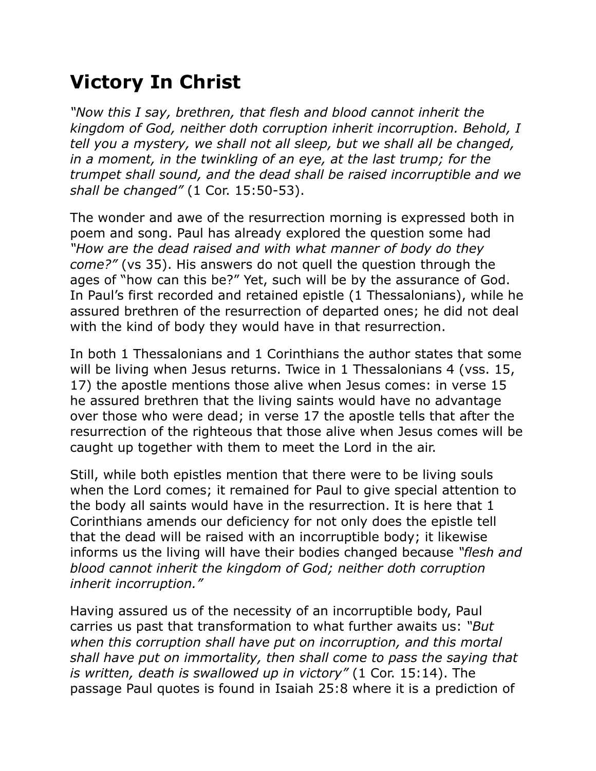## **Victory In Christ**

*"Now this I say, brethren, that flesh and blood cannot inherit the kingdom of God, neither doth corruption inherit incorruption. Behold, I tell you a mystery, we shall not all sleep, but we shall all be changed,*  in a moment, in the twinkling of an eye, at the last trump; for the *trumpet shall sound, and the dead shall be raised incorruptible and we shall be changed"* (1 Cor. 15:50-53).

The wonder and awe of the resurrection morning is expressed both in poem and song. Paul has already explored the question some had *"How are the dead raised and with what manner of body do they come?"* (vs 35). His answers do not quell the question through the ages of "how can this be?" Yet, such will be by the assurance of God. In Paul's first recorded and retained epistle (1 Thessalonians), while he assured brethren of the resurrection of departed ones; he did not deal with the kind of body they would have in that resurrection.

In both 1 Thessalonians and 1 Corinthians the author states that some will be living when Jesus returns. Twice in 1 Thessalonians 4 (vss. 15, 17) the apostle mentions those alive when Jesus comes: in verse 15 he assured brethren that the living saints would have no advantage over those who were dead; in verse 17 the apostle tells that after the resurrection of the righteous that those alive when Jesus comes will be caught up together with them to meet the Lord in the air.

Still, while both epistles mention that there were to be living souls when the Lord comes; it remained for Paul to give special attention to the body all saints would have in the resurrection. It is here that 1 Corinthians amends our deficiency for not only does the epistle tell that the dead will be raised with an incorruptible body; it likewise informs us the living will have their bodies changed because *"flesh and blood cannot inherit the kingdom of God; neither doth corruption inherit incorruption."*

Having assured us of the necessity of an incorruptible body, Paul carries us past that transformation to what further awaits us: *"But when this corruption shall have put on incorruption, and this mortal shall have put on immortality, then shall come to pass the saying that is written, death is swallowed up in victory"* (1 Cor. 15:14). The passage Paul quotes is found in Isaiah 25:8 where it is a prediction of